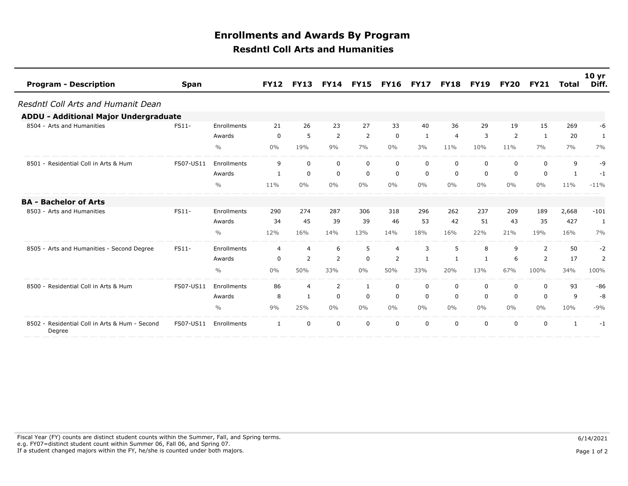## **Resdntl Coll Arts and Humanities Enrollments and Awards By Program**

| <b>Program - Description</b>                             | <b>Span</b> |               | <b>FY12</b> | <b>FY13</b>    | <b>FY14</b>    | <b>FY15</b>    | <b>FY16</b> | <b>FY17</b> | <b>FY18</b> | <b>FY19</b>  | <b>FY20</b> | <b>FY21</b>    | Total        | 10 <sub>yr</sub><br>Diff. |
|----------------------------------------------------------|-------------|---------------|-------------|----------------|----------------|----------------|-------------|-------------|-------------|--------------|-------------|----------------|--------------|---------------------------|
| Resdntl Coll Arts and Humanit Dean                       |             |               |             |                |                |                |             |             |             |              |             |                |              |                           |
| <b>ADDU - Additional Major Undergraduate</b>             |             |               |             |                |                |                |             |             |             |              |             |                |              |                           |
| 8504 - Arts and Humanities                               | FS11-       | Enrollments   | 21          | 26             | 23             | 27             | 33          | 40          | 36          | 29           | 19          | 15             | 269          | -6                        |
|                                                          |             | Awards        | $\mathbf 0$ | 5              | 2              | $\overline{2}$ | $\mathbf 0$ | 1           | 4           | 3            | 2           | 1              | 20           | 1                         |
|                                                          |             | $\frac{0}{0}$ | $0\%$       | 19%            | 9%             | 7%             | $0\%$       | 3%          | 11%         | 10%          | 11%         | 7%             | 7%           | 7%                        |
| 8501 - Residential Coll in Arts & Hum                    | FS07-US11   | Enrollments   | 9           | $\mathbf 0$    | $\mathbf 0$    | $\mathbf 0$    | 0           | $\Omega$    | $\mathbf 0$ | $\mathbf 0$  | $\mathbf 0$ | $\Omega$       | 9            | -9                        |
|                                                          |             | Awards        | 1           | 0              | 0              | 0              | 0           | 0           | 0           | 0            | 0           | 0              | 1            | $-1$                      |
|                                                          |             | $\frac{0}{0}$ | 11%         | $0\%$          | 0%             | $0\%$          | $0\%$       | $0\%$       | $0\%$       | $0\%$        | 0%          | $0\%$          | 11%          | $-11%$                    |
| <b>BA - Bachelor of Arts</b>                             |             |               |             |                |                |                |             |             |             |              |             |                |              |                           |
| 8503 - Arts and Humanities                               | FS11-       | Enrollments   | 290         | 274            | 287            | 306            | 318         | 296         | 262         | 237          | 209         | 189            | 2,668        | $-101$                    |
|                                                          |             | Awards        | 34          | 45             | 39             | 39             | 46          | 53          | 42          | 51           | 43          | 35             | 427          | $\mathbf{1}$              |
|                                                          |             | $\frac{0}{0}$ | 12%         | 16%            | 14%            | 13%            | 14%         | 18%         | 16%         | 22%          | 21%         | 19%            | 16%          | 7%                        |
| 8505 - Arts and Humanities - Second Degree               | FS11-       | Enrollments   | 4           | $\overline{4}$ | 6              | 5              | 4           | 3           | 5           | 8            | 9           | $\overline{2}$ | 50           | $-2$                      |
|                                                          |             | Awards        | 0           | 2              | $\overline{2}$ | $\mathbf 0$    | 2           | -1          | 1           | $\mathbf{1}$ | 6           | 2              | 17           | 2                         |
|                                                          |             | $\frac{0}{0}$ | $0\%$       | 50%            | 33%            | $0\%$          | 50%         | 33%         | 20%         | 13%          | 67%         | 100%           | 34%          | 100%                      |
| 8500 - Residential Coll in Arts & Hum                    | FS07-US11   | Enrollments   | 86          | $\overline{4}$ | 2              | 1              | 0           | 0           | 0           | 0            | 0           | 0              | 93           | $-86$                     |
|                                                          |             | Awards        | 8           | $\mathbf{1}$   | 0              | 0              | $\mathbf 0$ | $\mathbf 0$ | $\mathbf 0$ | $\mathbf 0$  | 0           | $\Omega$       | 9            | $-8$                      |
|                                                          |             | $\frac{0}{0}$ | 9%          | 25%            | $0\%$          | $0\%$          | $0\%$       | $0\%$       | $0\%$       | $0\%$        | $0\%$       | $0\%$          | 10%          | $-9%$                     |
| 8502 - Residential Coll in Arts & Hum - Second<br>Degree | FS07-US11   | Enrollments   | 1           | $\Omega$       | 0              | $\mathbf 0$    | 0           | $\Omega$    | 0           | 0            | $\Omega$    | $\Omega$       | $\mathbf{1}$ | $-1$                      |